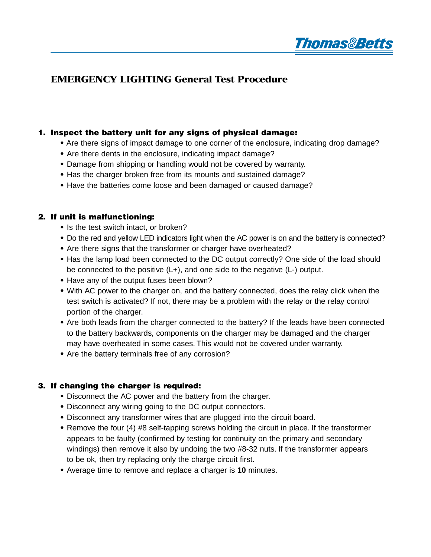

# **EMERGENCY LIGHTING General Test Procedure**

### **1. Inspect the battery unit for any signs of physical damage:**

- **•** Are there signs of impact damage to one corner of the enclosure, indicating drop damage?
- Are there dents in the enclosure, indicating impact damage?
- Damage from shipping or handling would not be covered by warranty.
- Has the charger broken free from its mounts and sustained damage?
- Have the batteries come loose and been damaged or caused damage?

#### **2. If unit is malfunctioning:**

- Is the test switch intact, or broken?
- Do the red and yellow LED indicators light when the AC power is on and the battery is connected?
- Are there signs that the transformer or charger have overheated?
- Has the lamp load been connected to the DC output correctly? One side of the load should be connected to the positive (L+), and one side to the negative (L-) output.
- Have any of the output fuses been blown?
- With AC power to the charger on, and the battery connected, does the relay click when the test switch is activated? If not, there may be a problem with the relay or the relay control portion of the charger.
- Are both leads from the charger connected to the battery? If the leads have been connected to the battery backwards, components on the charger may be damaged and the charger may have overheated in some cases. This would not be covered under warranty.
- Are the battery terminals free of any corrosion?

#### **3. If changing the charger is required:**

- Disconnect the AC power and the battery from the charger.
- Disconnect any wiring going to the DC output connectors.
- Disconnect any transformer wires that are plugged into the circuit board.
- Remove the four (4) #8 self-tapping screws holding the circuit in place. If the transformer appears to be faulty (confirmed by testing for continuity on the primary and secondary windings) then remove it also by undoing the two #8-32 nuts. If the transformer appears to be ok, then try replacing only the charge circuit first.
- Average time to remove and replace a charger is **10** minutes.